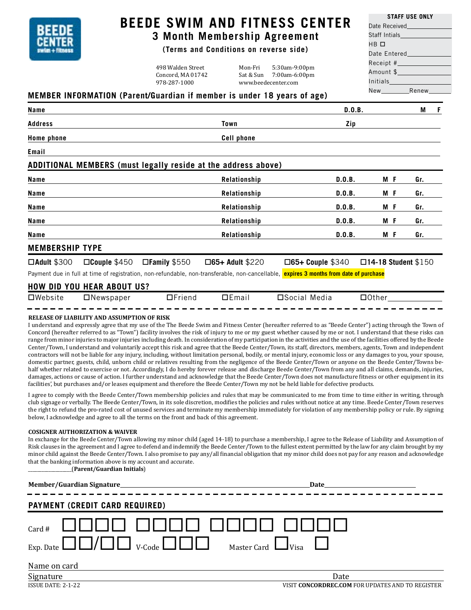

## **BEEDE SWIM AND FITNESS CENTER 3 Month Membership Agreement**

# **(Terms and Conditions on reverse side)**

498 Walden Street Mon-Fri 5:30am-9:00pm Concord, MA 01742 Sat & Sun 7:00am-6:00pm<br>978-287-1000 www.beedecenter.com www.beedecenter.com

|                 | SIAFF USE UNLI                                                                                                  |
|-----------------|-----------------------------------------------------------------------------------------------------------------|
|                 | Date Received_______________                                                                                    |
|                 |                                                                                                                 |
| HB O            |                                                                                                                 |
|                 | Date Entered and the state of the state of the state of the state of the state of the state of the state of the |
|                 |                                                                                                                 |
|                 | Amount \$                                                                                                       |
| <b>Initials</b> |                                                                                                                 |
|                 | New Renew                                                                                                       |

**STAFF USE ONLY**

#### **MEMBER INFORMATION (Parent/Guardian if member is under 18 years of age)**

| Name                                                                                                                                   |                        | D.0.B.                  | М<br>- F                   |  |
|----------------------------------------------------------------------------------------------------------------------------------------|------------------------|-------------------------|----------------------------|--|
| <b>Address</b>                                                                                                                         | Town                   | Zip                     |                            |  |
| <b>Home phone</b>                                                                                                                      | <b>Cell phone</b>      |                         |                            |  |
| Email                                                                                                                                  |                        |                         |                            |  |
| ADDITIONAL MEMBERS (must legally reside at the address above)                                                                          |                        |                         |                            |  |
| Name                                                                                                                                   | Relationship           | D.0.B.<br>M F           | Gr.                        |  |
| Name                                                                                                                                   | Relationship           | D.0.B.<br>M F           | Gr.                        |  |
| Name                                                                                                                                   | Relationship           | D.0.B.<br>M F           | Gr.                        |  |
| Name                                                                                                                                   | Relationship           | D.0.B.<br>M F           | Gr.                        |  |
| Name                                                                                                                                   | Relationship           | D.0.B.<br>M F           | Gr.                        |  |
| <b>MEMBERSHIP TYPE</b>                                                                                                                 |                        |                         |                            |  |
| $\square$ Couple \$450<br>$\Box$ Family \$550<br>$\Box$ Adult \$300                                                                    | $\Box$ 65+ Adult \$220 | $\Box$ 65+ Couple \$340 | $\Box$ 14-18 Student \$150 |  |
| Payment due in full at time of registration, non-refundable, non-transferable, non-cancellable, expires 3 months from date of purchase |                        |                         |                            |  |
| <b>HOW DID YOU HEAR ABOUT US?</b>                                                                                                      |                        |                         |                            |  |

# Website Newspaper Friend Email Social Media Other

#### **RELEASE OF LIABILITY AND ASSUMPTION OF RISK**

I understand and expressly agree that my use of the The Beede Swim and Fitness Center (hereafter referred to as "Beede Center") acting through the Town of Concord (hereafter referred to as "Town") facility involves the risk of injury to me or my guest whether caused by me or not. I understand that these risks can range from minor injuries to major injuries including death. In consideration of my participation in the activities and the use of the facilities offered by the Beede Center/Town, I understand and voluntarily accept this risk and agree that the Beede Center/Town, its staff, directors, members, agents, Town and independent contractors will not be liable for any injury, including, without limitation personal, bodily, or mental injury, economic loss or any damages to you, your spouse, domestic partner, guests, child, unborn child or relatives resulting from the negligence of the Beede Center/Town or anyone on the Beede Center/Towns behalf whether related to exercise or not. Accordingly, I do hereby forever release and discharge Beede Center/Town from any and all claims, demands, injuries, damages, actions or cause of action. I further understand and acknowledge that the Beede Center/Town does not manufacture fitness or other equipment in its facilities', but purchases and/or leases equipment and therefore the Beede Center/Town my not be held liable for defective products.

I agree to comply with the Beede Center/Town membership policies and rules that may be communicated to me from time to time either in writing, through club signage or verbally. The Beede Center/Town, in its sole discretion, modifies the policies and rules without notice at any time. Beede Center/Town reserves the right to refund the pro-rated cost of unused services and terminate my membership immediately for violation of any membership policy or rule. By signing below, I acknowledge and agree to all the terms on the front and back of this agreement.

#### **COSIGNER AUTHORIZATION & WAIVER**

In exchange for the Beede Center/Town allowing my minor child (aged 14-18) to purchase a membership, I agree to the Release of Liability and Assumption of Risk clauses in the agreement and I agree to defend and indemnify the Beede Center/Town to the fullest extent permitted by the law for any claim brought by my minor child against the Beede Center/Town. I also promise to pay any/all financial obligation that my minor child does not pay for any reason and acknowledge that the banking information above is my account and accurate.

\_\_\_\_\_\_\_\_\_\_\_\_\_\_\_\_\_\_\_(**Parent/Guardian Initials**)

|                                       | Date |
|---------------------------------------|------|
| <b>PAYMENT (CREDIT CARD REQUIRED)</b> |      |
|                                       |      |
| Name on card                          |      |
| Signature                             | Date |